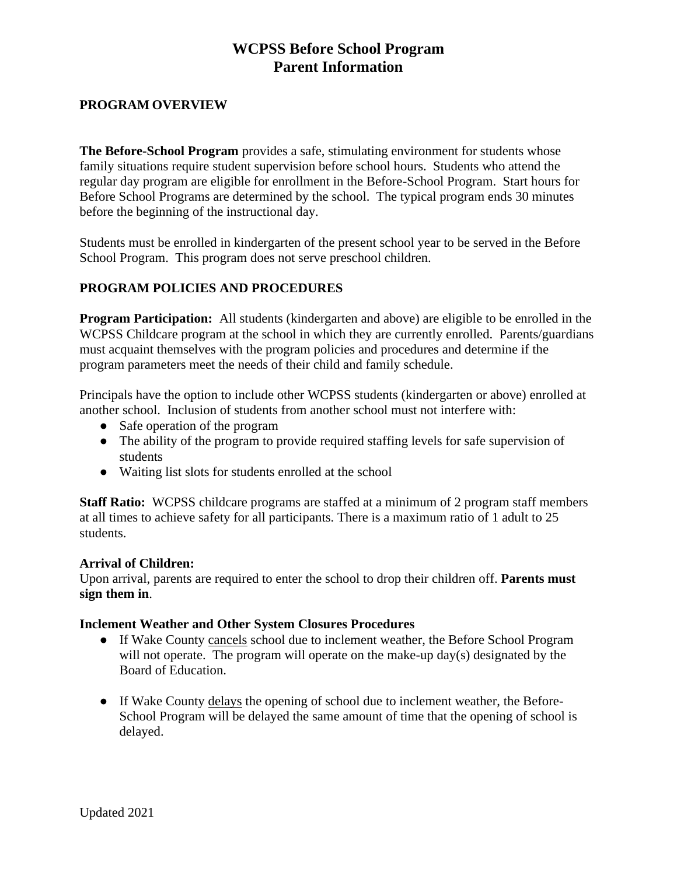# **WCPSS Before School Program Parent Information**

# **PROGRAM OVERVIEW**

**The Before-School Program** provides a safe, stimulating environment for students whose family situations require student supervision before school hours. Students who attend the regular day program are eligible for enrollment in the Before-School Program. Start hours for Before School Programs are determined by the school. The typical program ends 30 minutes before the beginning of the instructional day.

Students must be enrolled in kindergarten of the present school year to be served in the Before School Program. This program does not serve preschool children.

# **PROGRAM POLICIES AND PROCEDURES**

**Program Participation:** All students (kindergarten and above) are eligible to be enrolled in the WCPSS Childcare program at the school in which they are currently enrolled. Parents/guardians must acquaint themselves with the program policies and procedures and determine if the program parameters meet the needs of their child and family schedule.

Principals have the option to include other WCPSS students (kindergarten or above) enrolled at another school. Inclusion of students from another school must not interfere with:

- Safe operation of the program
- The ability of the program to provide required staffing levels for safe supervision of students
- Waiting list slots for students enrolled at the school

**Staff Ratio:** WCPSS childcare programs are staffed at a minimum of 2 program staff members at all times to achieve safety for all participants. There is a maximum ratio of 1 adult to 25 students.

### **Arrival of Children:**

Upon arrival, parents are required to enter the school to drop their children off. **Parents must sign them in**.

### **Inclement Weather and Other System Closures Procedures**

- If Wake County cancels school due to inclement weather, the Before School Program will not operate. The program will operate on the make-up  $day(s)$  designated by the Board of Education.
- If Wake County delays the opening of school due to inclement weather, the Before-School Program will be delayed the same amount of time that the opening of school is delayed.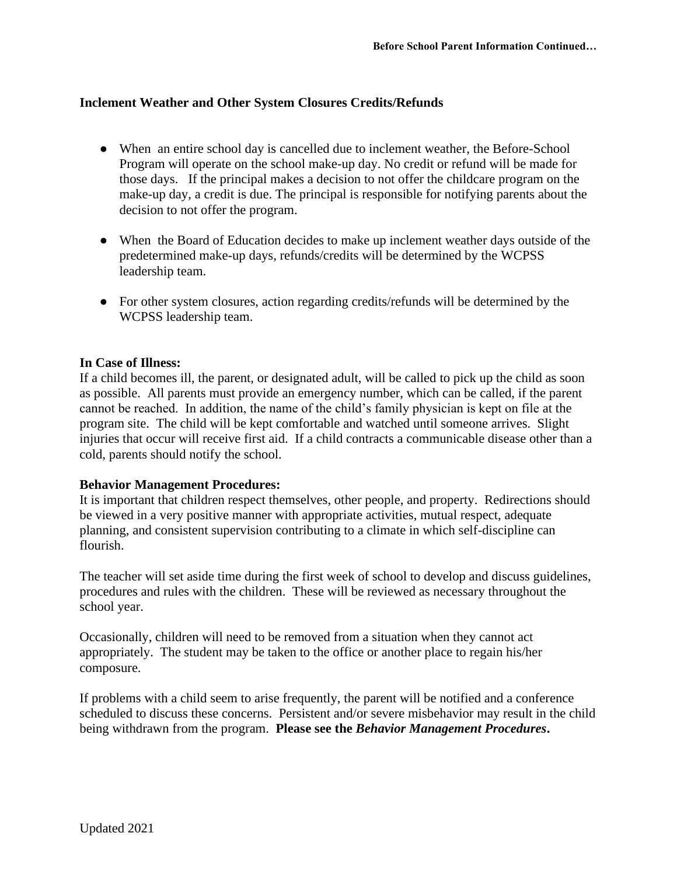### **Inclement Weather and Other System Closures Credits/Refunds**

- When an entire school day is cancelled due to inclement weather, the Before-School Program will operate on the school make-up day. No credit or refund will be made for those days. If the principal makes a decision to not offer the childcare program on the make-up day, a credit is due. The principal is responsible for notifying parents about the decision to not offer the program.
- When the Board of Education decides to make up inclement weather days outside of the predetermined make-up days, refunds/credits will be determined by the WCPSS leadership team.
- For other system closures, action regarding credits/refunds will be determined by the WCPSS leadership team.

#### **In Case of Illness:**

If a child becomes ill, the parent, or designated adult, will be called to pick up the child as soon as possible. All parents must provide an emergency number, which can be called, if the parent cannot be reached. In addition, the name of the child's family physician is kept on file at the program site. The child will be kept comfortable and watched until someone arrives. Slight injuries that occur will receive first aid. If a child contracts a communicable disease other than a cold, parents should notify the school.

### **Behavior Management Procedures:**

It is important that children respect themselves, other people, and property. Redirections should be viewed in a very positive manner with appropriate activities, mutual respect, adequate planning, and consistent supervision contributing to a climate in which self-discipline can flourish.

The teacher will set aside time during the first week of school to develop and discuss guidelines, procedures and rules with the children. These will be reviewed as necessary throughout the school year.

Occasionally, children will need to be removed from a situation when they cannot act appropriately. The student may be taken to the office or another place to regain his/her composure.

If problems with a child seem to arise frequently, the parent will be notified and a conference scheduled to discuss these concerns. Persistent and/or severe misbehavior may result in the child being withdrawn from the program. **Please see the** *Behavior Management Procedures***.**